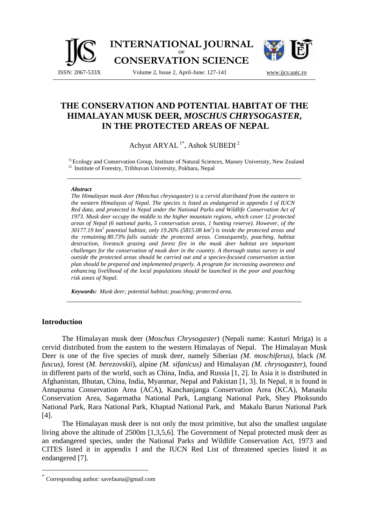



# **THE CONSERVATION AND POTENTIAL HABITAT OF THE HIMALAYAN MUSK DEER,** *MOSCHUS CHRYSOGASTER***, IN THE PROTECTED AREAS OF NEPAL**

Achyut ARYAL 1\*, Ashok SUBEDI 2

<sup>1)</sup> Ecology and Conservation Group, Institute of Natural Sciences, Massey University, New Zealand <sup>2)</sup> Institute of Forestry, Tribhuvan University, Pokhara, Nepal

#### *Abstract*

*The Himalayan musk deer (Moschus chrysogaster) is a cervid distributed from the eastern to the western Himalayas of Nepal. The species is listed as endangered in appendix I of IUCN Red data, and protected in Nepal under the National Parks and Wildlife Conservation Act of 1973. Musk deer occupy the middle to the higher mountain regions, which cover 12 protected areas of Nepal (6 national parks, 5 conservation areas, 1 hunting reserve). However, of the 30177.19 km<sup>2</sup> potential habitat, only 19.26% (5815.08 km2 ) is inside the protected areas and the remaining 80.73% falls outside the protected areas. Consequently, poaching, habitat destruction, livestock grazing and forest fire in the musk deer habitat are important challenges for the conservation of musk deer in the country. A thorough status survey in and outside the protected areas should be carried out and a species-focused conservation action plan should be prepared and implemented properly. A program for increasing awareness and enhancing livelihood of the local populations should be launched in the poor and poaching risk zones of Nepal.*

*Keywords: Musk deer; potential habitat; poaching; protected area.* 

#### **Introduction**

 $\overline{a}$ 

The Himalayan musk deer (*Moschus Chrysogaster*) (Nepali name: Kasturi Mriga) is a cervid distributed from the eastern to the western Himalayas of Nepal. The Himalayan Musk Deer is one of the five species of musk deer, namely Siberian *(M. moschiferus)*, black *(M. fuscus)*, forest (*M. berezovskii*), alpine *(M. sifanicus)* and Himalayan *(M. chrysogaster)*, found in different parts of the world, such as China, India, and Russia [1, 2]. In Asia it is distributed in Afghanistan, Bhutan, China, India, Myanmar, Nepal and Pakistan [1, 3]. In Nepal, it is found in Annapurna Conservation Area (ACA), Kanchanjanga Conservation Area (KCA), Manaslu Conservation Area, Sagarmatha National Park, Langtang National Park, Shey Phoksundo National Park, Rara National Park, Khaptad National Park, and Makalu Barun National Park [4].

The Himalayan musk deer is not only the most primitive, but also the smallest ungulate living above the altitude of 2500m [1,3,5,6]. The Government of Nepal protected musk deer as an endangered species, under the National Parks and Wildlife Conservation Act, 1973 and CITES listed it in appendix I and the IUCN Red List of threatened species listed it as endangered [7].

Corresponding author: savefauna@gmail.com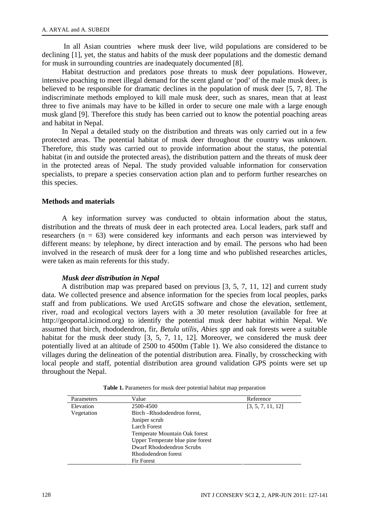In all Asian countries where musk deer live, wild populations are considered to be declining [1], yet, the status and habits of the musk deer populations and the domestic demand for musk in surrounding countries are inadequately documented [8].

Habitat destruction and predators pose threats to musk deer populations. However, intensive poaching to meet illegal demand for the scent gland or 'pod' of the male musk deer, is believed to be responsible for dramatic declines in the population of musk deer [5, 7, 8]. The indiscriminate methods employed to kill male musk deer, such as snares, mean that at least three to five animals may have to be killed in order to secure one male with a large enough musk gland [9]. Therefore this study has been carried out to know the potential poaching areas and habitat in Nepal.

In Nepal a detailed study on the distribution and threats was only carried out in a few protected areas. The potential habitat of musk deer throughout the country was unknown. Therefore, this study was carried out to provide information about the status, the potential habitat (in and outside the protected areas), the distribution pattern and the threats of musk deer in the protected areas of Nepal. The study provided valuable information for conservation specialists, to prepare a species conservation action plan and to perform further researches on this species.

#### **Methods and materials**

A key information survey was conducted to obtain information about the status, distribution and the threats of musk deer in each protected area. Local leaders, park staff and researchers ( $n = 63$ ) were considered key informants and each person was interviewed by different means: by telephone, by direct interaction and by email. The persons who had been involved in the research of musk deer for a long time and who published researches articles, were taken as main referents for this study.

#### *Musk deer distribution in Nepal*

A distribution map was prepared based on previous [3, 5, 7, 11, 12] and current study data. We collected presence and absence information for the species from local peoples, parks staff and from publications. We used ArcGIS software and chose the elevation, settlement, river, road and ecological vectors layers with a 30 meter resolution (available for free at http://geoportal.icimod.org) to identify the potential musk deer habitat within Nepal. We assumed that birch, rhododendron, fir, *Betula utilis*, *Abies spp* and oak forests were a suitable habitat for the musk deer study [3, 5, 7, 11, 12]. Moreover, we considered the musk deer potentially lived at an altitude of 2500 to 4500m (Table 1). We also considered the distance to villages during the delineation of the potential distribution area. Finally, by crosschecking with local people and staff, potential distribution area ground validation GPS points were set up throughout the Nepal.

| Parameters | Value                            | Reference         |
|------------|----------------------------------|-------------------|
| Elevation  | 2500-4500                        | [3, 5, 7, 11, 12] |
| Vegetation | Birch-Rhododendron forest,       |                   |
|            | Juniper scrub                    |                   |
|            | <b>Larch Forest</b>              |                   |
|            | Temperate Mountain Oak forest    |                   |
|            | Upper Temperate blue pine forest |                   |
|            | Dwarf Rhododendron Scrubs        |                   |
|            | Rhododendron forest              |                   |
|            | <b>Fir Forest</b>                |                   |

**Table 1.** Parameters for musk deer potential habitat map preparation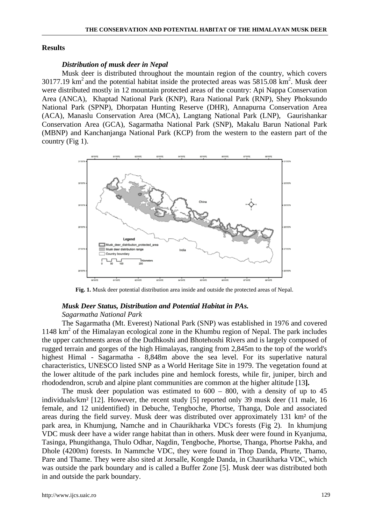#### **Results**

#### *Distribution of musk deer in Nepal*

Musk deer is distributed throughout the mountain region of the country, which covers 30177.19  $\text{km}^2$  and the potential habitat inside the protected areas was 5815.08  $\text{km}^2$ . Musk deer were distributed mostly in 12 mountain protected areas of the country: Api Nappa Conservation Area (ANCA), Khaptad National Park (KNP), Rara National Park (RNP), Shey Phoksundo National Park (SPNP), Dhorpatan Hunting Reserve (DHR), Annapurna Conservation Area (ACA), Manaslu Conservation Area (MCA), Langtang National Park (LNP), Gaurishankar Conservation Area (GCA), Sagarmatha National Park (SNP), Makalu Barun National Park (MBNP) and Kanchanjanga National Park (KCP) from the western to the eastern part of the country (Fig 1).



**Fig. 1.** Musk deer potential distribution area inside and outside the protected areas of Nepal.

#### *Musk Deer Status, Distribution and Potential Habitat in PAs.*

# *Sagarmatha National Park*

The Sagarmatha (Mt. Everest) National Park (SNP) was established in 1976 and covered 1148 km<sup>2</sup> of the Himalayan ecological zone in the Khumbu region of Nepal. The park includes the upper catchments areas of the Dudhkoshi and Bhotehoshi Rivers and is largely composed of rugged terrain and gorges of the high Himalayas, ranging from 2,845m to the top of the world's highest Himal - Sagarmatha - 8,848m above the sea level. For its superlative natural characteristics, UNESCO listed SNP as a World Heritage Site in 1979. The vegetation found at the lower altitude of the park includes pine and hemlock forests, while fir, juniper, birch and rhododendron, scrub and alpine plant communities are common at the higher altitude [13**].** 

The musk deer population was estimated to  $600 - 800$ , with a density of up to 45 individuals/km² [12]. However, the recent study [5] reported only 39 musk deer (11 male, 16 female, and 12 unidentified) in Debuche, Tengboche, Phortse, Thanga, Dole and associated areas during the field survey. Musk deer was distributed over approximately 131 km² of the park area, in Khumjung, Namche and in Chaurikharka VDC's forests (Fig 2). In khumjung VDC musk deer have a wider range habitat than in others. Musk deer were found in Kyanjuma, Tasinga, Phungithanga, Thulo Odhar, Nagdin, Tengboche, Phortse, Thanga, Phortse Pakha, and Dhole (4200m) forests. In Nammche VDC, they were found in Thop Danda, Phurte, Thamo, Pare and Thame. They were also sited at Jorsalle, Kongde Danda, in Chaurikharka VDC, which was outside the park boundary and is called a Buffer Zone [5]. Musk deer was distributed both in and outside the park boundary.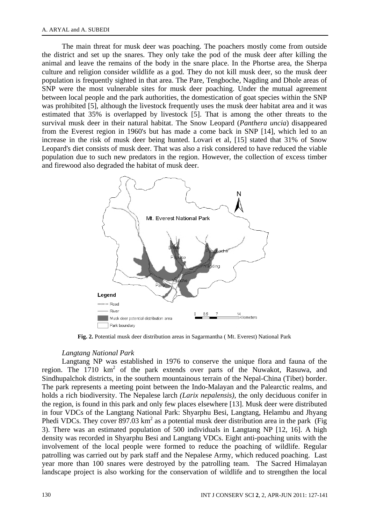The main threat for musk deer was poaching. The poachers mostly come from outside the district and set up the snares. They only take the pod of the musk deer after killing the animal and leave the remains of the body in the snare place. In the Phortse area, the Sherpa culture and religion consider wildlife as a god. They do not kill musk deer, so the musk deer population is frequently sighted in that area. The Pare, Tengboche, Nagding and Dhole areas of SNP were the most vulnerable sites for musk deer poaching. Under the mutual agreement between local people and the park authorities, the domestication of goat species within the SNP was prohibited [5], although the livestock frequently uses the musk deer habitat area and it was estimated that 35% is overlapped by livestock [5]. That is among the other threats to the survival musk deer in their natural habitat. The Snow Leopard (*Panthera uncia*) disappeared from the Everest region in 1960's but has made a come back in SNP [14], which led to an increase in the risk of musk deer being hunted. Lovari et al, [15] stated that 31% of Snow Leopard's diet consists of musk deer. That was also a risk considered to have reduced the viable population due to such new predators in the region. However, the collection of excess timber and firewood also degraded the habitat of musk deer.



**Fig. 2.** Potential musk deer distribution areas in Sagarmantha ( Mt. Everest) National Park

#### *Langtang National Park*

Langtang NP was established in 1976 to conserve the unique flora and fauna of the region. The  $1710 \text{ km}^2$  of the park extends over parts of the Nuwakot, Rasuwa, and Sindhupalchok districts, in the southern mountainous terrain of the Nepal-China (Tibet) border. The park represents a meeting point between the Indo-Malayan and the Palearctic realms, and holds a rich biodiversity. The Nepalese larch *(Larix nepalensis),* the only deciduous conifer in the region, is found in this park and only few places elsewhere [13]. Musk deer were distributed in four VDCs of the Langtang National Park: Shyarphu Besi, Langtang, Helambu and Jhyang Phedi VDCs. They cover  $897.03 \text{ km}^2$  as a potential musk deer distribution area in the park (Fig 3). There was an estimated population of 500 individuals in Langtang NP [12, 16]. A high density was recorded in Shyarphu Besi and Langtang VDCs. Eight anti-poaching units with the involvement of the local people were formed to reduce the poaching of wildlife. Regular patrolling was carried out by park staff and the Nepalese Army, which reduced poaching. Last year more than 100 snares were destroyed by the patrolling team. The Sacred Himalayan landscape project is also working for the conservation of wildlife and to strengthen the local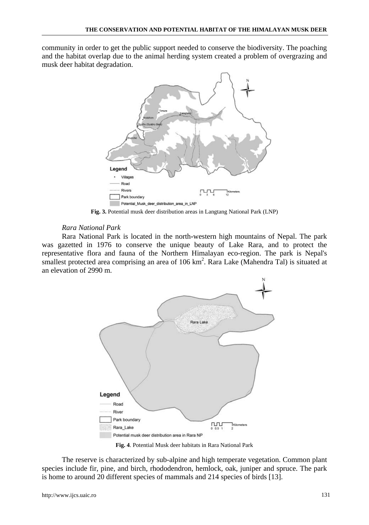community in order to get the public support needed to conserve the biodiversity. The poaching and the habitat overlap due to the animal herding system created a problem of overgrazing and musk deer habitat degradation.



**Fig. 3.** Potential musk deer distribution areas in Langtang National Park (LNP)

### *Rara National Park*

Rara National Park is located in the north**-**western high mountains of Nepal. The park was gazetted in 1976 to conserve the unique beauty of Lake Rara, and to protect the representative flora and fauna of the Northern Himalayan eco-region. The park is Nepal's smallest protected area comprising an area of 106 km<sup>2</sup>. Rara Lake (Mahendra Tal) is situated at an elevation of 2990 m.



**Fig. 4**. Potential Musk deer habitats in Rara National Park

The reserve is characterized by sub-alpine and high temperate vegetation. Common plant species include fir, pine, and birch, rhododendron, hemlock, oak, juniper and spruce. The park is home to around 20 different species of mammals and 214 species of birds [13].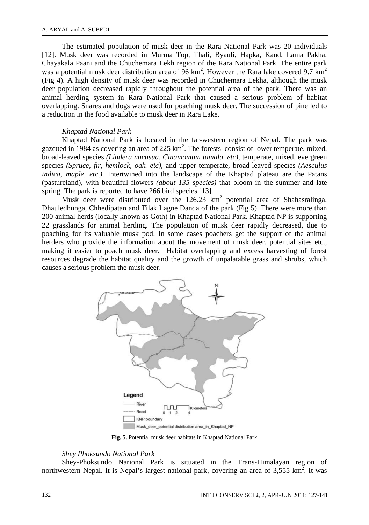The estimated population of musk deer in the Rara National Park was 20 individuals [12]. Musk deer was recorded in Murma Top, Thali, Byauli, Hapka, Kand, Lama Pakha, Chayakala Paani and the Chuchemara Lekh region of the Rara National Park. The entire park was a potential musk deer distribution area of  $96 \text{ km}^2$ . However the Rara lake covered 9.7 km<sup>2</sup> (Fig 4). A high density of musk deer was recorded in Chuchemara Lekha, although the musk deer population decreased rapidly throughout the potential area of the park. There was an animal herding system in Rara National Park that caused a serious problem of habitat overlapping. Snares and dogs were used for poaching musk deer. The succession of pine led to a reduction in the food available to musk deer in Rara Lake.

### *Khaptad National Park*

Khaptad National Park is located in the far-western region of Nepal. The park was gazetted in 1984 as covering an area of 225 km<sup>2</sup>. The forests consist of lower temperate, mixed, broad-leaved species *(Lindera nacusua, Cinamomum tamala. etc),* temperate, mixed, evergreen species *(Spruce, fir, hemlock, oak. etc),* and upper temperate, broad-leaved species *(Aesculus indica, maple, etc.)*. Intertwined into the landscape of the Khaptad plateau are the Patans (pastureland), with beautiful flowers *(about 135 species)* that bloom in the summer and late spring. The park is reported to have 266 bird species [13].

Musk deer were distributed over the  $126.23 \text{ km}^2$  potential area of Shahasralinga, Dhauledhunga, Chhedipatan and Tilak Lagne Danda of the park (Fig 5). There were more than 200 animal herds (locally known as Goth) in Khaptad National Park. Khaptad NP is supporting 22 grasslands for animal herding. The population of musk deer rapidly decreased, due to poaching for its valuable musk pod. In some cases poachers get the support of the animal herders who provide the information about the movement of musk deer, potential sites etc., making it easier to poach musk deer. Habitat overlapping and excess harvesting of forest resources degrade the habitat quality and the growth of unpalatable grass and shrubs, which causes a serious problem the musk deer.



**Fig. 5.** Potential musk deer habitats in Khaptad National Park

#### *Shey Phoksundo National Park*

Shey-Phoksundo Narional Park is situated in the Trans-Himalayan region of northwestern Nepal. It is Nepal's largest national park, covering an area of  $3,555$  km<sup>2</sup>. It was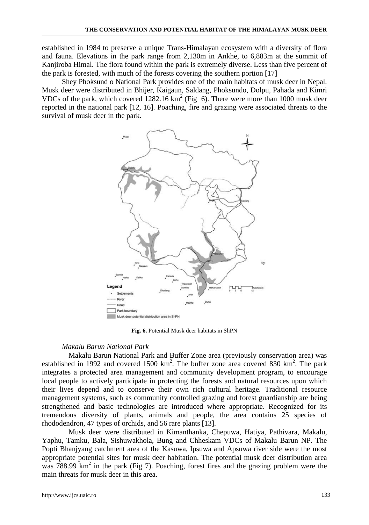established in 1984 to preserve a unique Trans-Himalayan ecosystem with a diversity of flora and fauna. Elevations in the park range from 2,130m in Ankhe, to 6,883m at the summit of Kanjiroba Himal. The flora found within the park is extremely diverse. Less than five percent of the park is forested, with much of the forests covering the southern portion [17]

Shey Phoksund o National Park provides one of the main habitats of musk deer in Nepal. Musk deer were distributed in Bhijer, Kaigaun, Saldang, Phoksundo, Dolpu, Pahada and Kimri VDCs of the park, which covered  $1282.16 \text{ km}^2$  (Fig 6). There were more than 1000 musk deer reported in the national park [12, 16]. Poaching, fire and grazing were associated threats to the survival of musk deer in the park.



**Fig. 6.** Potential Musk deer habitats in ShPN

#### *Makalu Barun National Park*

 Makalu Barun National Park and Buffer Zone area (previously conservation area) was established in 1992 and covered 1500  $km^2$ . The buffer zone area covered 830  $km^2$ . The park integrates a protected area management and community development program, to encourage local people to actively participate in protecting the forests and natural resources upon which their lives depend and to conserve their own rich cultural heritage. Traditional resource management systems, such as community controlled grazing and forest guardianship are being strengthened and basic technologies are introduced where appropriate. Recognized for its tremendous diversity of plants, animals and people, the area contains 25 species of rhododendron, 47 types of orchids, and 56 rare plants [13].

 Musk deer were distributed in Kimanthanka, Chepuwa, Hatiya, Pathivara, Makalu, Yaphu, Tamku, Bala, Sishuwakhola, Bung and Chheskam VDCs of Makalu Barun NP. The Popti Bhanjyang catchment area of the Kasuwa, Ipsuwa and Apsuwa river side were the most appropriate potential sites for musk deer habitation. The potential musk deer distribution area  $\frac{1}{x}$  788.99 km<sup>2</sup> in the park (Fig 7). Poaching, forest fires and the grazing problem were the main threats for musk deer in this area.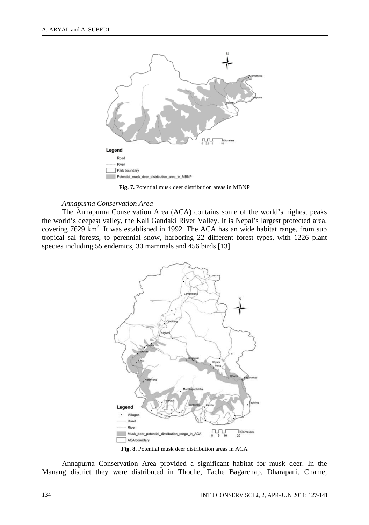

**Fig. 7.** Potential musk deer distribution areas in MBNP

#### *Annapurna Conservation Area*

The Annapurna Conservation Area (ACA) contains some of the world's highest peaks the world's deepest valley, the Kali Gandaki River Valley. It is Nepal's largest protected area, covering 7629 km<sup>2</sup>. It was established in 1992. The ACA has an wide habitat range, from sub tropical sal forests, to perennial snow, harboring 22 different forest types, with 1226 plant species including 55 endemics, 30 mammals and 456 birds [13].



**Fig. 8.** Potential musk deer distribution areas in ACA

Annapurna Conservation Area provided a significant habitat for musk deer. In the Manang district they were distributed in Thoche, Tache Bagarchap, Dharapani, Chame,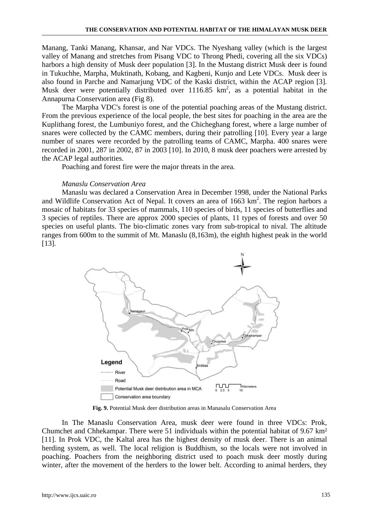Manang, Tanki Manang, Khansar, and Nar VDCs. The Nyeshang valley (which is the largest valley of Manang and stretches from Pisang VDC to Throng Phedi, covering all the six VDCs) harbors a high density of Musk deer population [3]. In the Mustang district Musk deer is found in Tukuchhe, Marpha, Muktinath, Kobang, and Kagbeni, Kunjo and Lete VDCs. Musk deer is also found in Parche and Namarjung VDC of the Kaski district, within the ACAP region [3]. Musk deer were potentially distributed over 1116.85  $km^2$ , as a potential habitat in the Annapurna Conservation area (Fig 8).

The Marpha VDC's forest is one of the potential poaching areas of the Mustang district. From the previous experience of the local people, the best sites for poaching in the area are the Kuplithang forest, the Lumbuniyo forest, and the Chicheghang forest, where a large number of snares were collected by the CAMC members, during their patrolling [10]. Every year a large number of snares were recorded by the patrolling teams of CAMC, Marpha. 400 snares were recorded in 2001, 287 in 2002, 87 in 2003 [10]. In 2010, 8 musk deer poachers were arrested by the ACAP legal authorities.

Poaching and forest fire were the major threats in the area.

### *Manaslu Conservation Area*

Manaslu was declared a Conservation Area in December 1998, under the National Parks and Wildlife Conservation Act of Nepal. It covers an area of  $1663 \text{ km}^2$ . The region harbors a mosaic of habitats for 33 species of mammals, 110 species of birds, 11 species of butterflies and 3 species of reptiles. There are approx 2000 species of plants, 11 types of forests and over 50 species on useful plants. The bio-climatic zones vary from sub-tropical to nival. The altitude ranges from 600m to the summit of Mt. Manaslu (8,163m), the eighth highest peak in the world [13].



**Fig. 9.** Potential Musk deer distribution areas in Manasalu Conservation Area

In The Manaslu Conservation Area, musk deer were found in three VDCs: Prok, Chumchet and Chhekampar. There were 51 individuals within the potential habitat of 9.67 km² [11]. In Prok VDC, the Kaltal area has the highest density of musk deer. There is an animal herding system, as well. The local religion is Buddhism, so the locals were not involved in poaching. Poachers from the neighboring district used to poach musk deer mostly during winter, after the movement of the herders to the lower belt. According to animal herders, they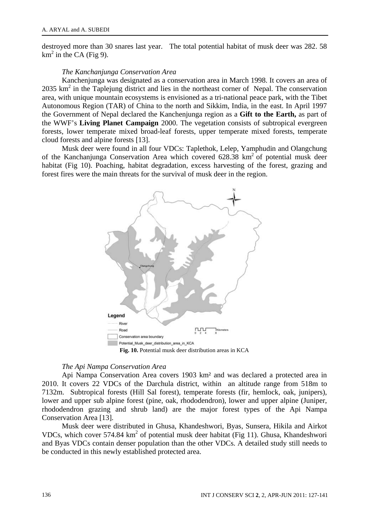destroyed more than 30 snares last year. The total potential habitat of musk deer was 282. 58  $km<sup>2</sup>$  in the CA (Fig 9).

#### *The Kanchanjunga Conservation Area*

Kanchenjunga was designated as a conservation area in March 1998. It covers an area of  $2035 \text{ km}^2$  in the Taplejung district and lies in the northeast corner of Nepal. The conservation area, with unique mountain ecosystems is envisioned as a tri-national peace park, with the Tibet Autonomous Region (TAR) of China to the north and Sikkim, India, in the east. In April 1997 the Government of Nepal declared the Kanchenjunga region as a **Gift to the Earth,** as part of the WWF's **Living Planet Campaign** 2000. The vegetation consists of subtropical evergreen forests, lower temperate mixed broad-leaf forests, upper temperate mixed forests, temperate cloud forests and alpine forests [13].

Musk deer were found in all four VDCs: Taplethok, Lelep, Yamphudin and Olangchung of the Kanchanjunga Conservation Area which covered  $628.38 \text{ km}^2$  of potential musk deer habitat (Fig 10). Poaching, habitat degradation, excess harvesting of the forest, grazing and forest fires were the main threats for the survival of musk deer in the region.



#### *The Api Nampa Conservation Area*

Api Nampa Conservation Area covers 1903 km² and was declared a protected area in 2010. It covers 22 VDCs of the Darchula district, within an altitude range from 518m to 7132m. Subtropical forests (Hill Sal forest), temperate forests (fir, hemlock, oak, junipers), lower and upper sub alpine forest (pine, oak, rhododendron), lower and upper alpine (Juniper, rhododendron grazing and shrub land) are the major forest types of the Api Nampa Conservation Area [13].

Musk deer were distributed in Ghusa, Khandeshwori, Byas, Sunsera, Hikila and Airkot VDCs, which cover 574.84 km<sup>2</sup> of potential musk deer habitat (Fig 11). Ghusa, Khandeshwori and Byas VDCs contain denser population than the other VDCs. A detailed study still needs to be conducted in this newly established protected area.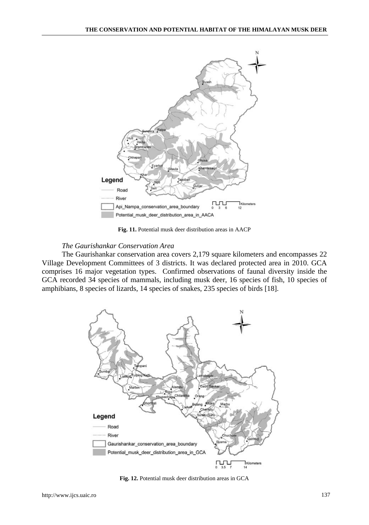

**Fig. 11.** Potential musk deer distribution areas in AACP

# *The Gaurishankar Conservation Area*

The Gaurishankar conservation area covers 2,179 square kilometers and encompasses 22 Village Development Committees of 3 districts. It was declared protected area in 2010. GCA comprises 16 major vegetation types. Confirmed observations of faunal diversity inside the GCA recorded 34 species of mammals, including musk deer, 16 species of fish, 10 species of amphibians, 8 species of lizards, 14 species of snakes, 235 species of birds [18].



**Fig. 12.** Potential musk deer distribution areas in GCA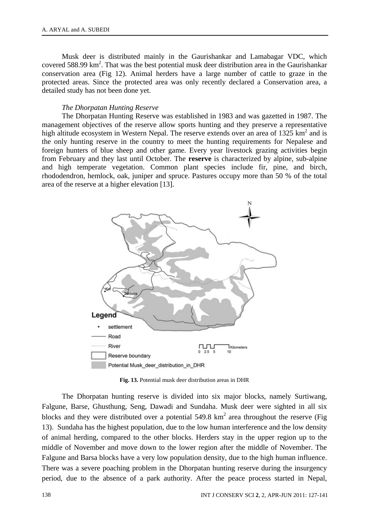Musk deer is distributed mainly in the Gaurishankar and Lamabagar VDC, which covered 588.99 km<sup>2</sup>. That was the best potential musk deer distribution area in the Gaurishankar conservation area (Fig 12). Animal herders have a large number of cattle to graze in the protected areas. Since the protected area was only recently declared a Conservation area, a detailed study has not been done yet.

#### *The Dhorpatan Hunting Reserve*

The Dhorpatan Hunting Reserve was established in 1983 and was gazetted in 1987. The management objectives of the reserve allow sports hunting and they preserve a representative high altitude ecosystem in Western Nepal. The reserve extends over an area of  $1325 \text{ km}^2$  and is the only hunting reserve in the country to meet the hunting requirements for Nepalese and foreign hunters of blue sheep and other game. Every year livestock grazing activities begin from February and they last until October. The **reserve** is characterized by alpine, sub-alpine and high temperate vegetation. Common plant species include fir, pine, and birch, rhododendron, hemlock, oak, juniper and spruce. Pastures occupy more than 50 % of the total area of the reserve at a higher elevation [13].



**Fig. 13.** Potential musk deer distribution areas in DHR

The Dhorpatan hunting reserve is divided into six major blocks, namely Surtiwang, Falgune, Barse, Ghusthung, Seng, Dawadi and Sundaha. Musk deer were sighted in all six blocks and they were distributed over a potential  $549.8 \text{ km}^2$  area throughout the reserve (Fig 13). Sundaha has the highest population, due to the low human interference and the low density of animal herding, compared to the other blocks. Herders stay in the upper region up to the middle of November and move down to the lower region after the middle of November. The Falgune and Barsa blocks have a very low population density, due to the high human influence. There was a severe poaching problem in the Dhorpatan hunting reserve during the insurgency period, due to the absence of a park authority. After the peace process started in Nepal,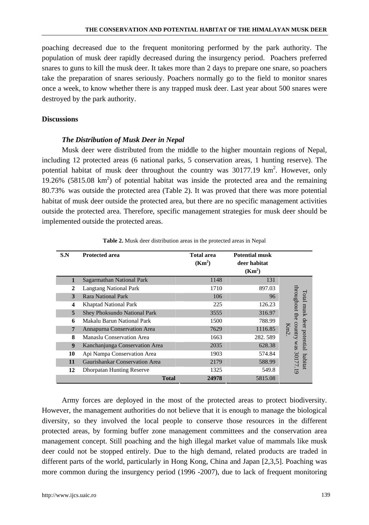poaching decreased due to the frequent monitoring performed by the park authority. The population of musk deer rapidly decreased during the insurgency period. Poachers preferred snares to guns to kill the musk deer. It takes more than 2 days to prepare one snare, so poachers take the preparation of snares seriously. Poachers normally go to the field to monitor snares once a week, to know whether there is any trapped musk deer. Last year about 500 snares were destroyed by the park authority.

### **Discussions**

### *The Distribution of Musk Deer in Nepal*

Musk deer were distributed from the middle to the higher mountain regions of Nepal, including 12 protected areas (6 national parks, 5 conservation areas, 1 hunting reserve). The potential habitat of musk deer throughout the country was  $30177.19 \text{ km}^2$ . However, only 19.26%  $(5815.08 \text{ km}^2)$  of potential habitat was inside the protected area and the remaining 80.73% was outside the protected area (Table 2). It was proved that there was more potential habitat of musk deer outside the protected area, but there are no specific management activities outside the protected area. Therefore, specific management strategies for musk deer should be implemented outside the protected areas.

| S.N              | <b>Protected area</b>            | <b>Total area</b><br>(Km <sup>2</sup> ) | <b>Potential musk</b><br>deer habitat<br>(Km <sup>2</sup> ) |                         |
|------------------|----------------------------------|-----------------------------------------|-------------------------------------------------------------|-------------------------|
| 1                | Sagarmathan National Park        | 1148                                    | 131                                                         |                         |
| $\mathbf{2}$     | <b>Langtang National Park</b>    | 1710                                    | 897.03                                                      |                         |
| 3                | <b>Rara National Park</b>        | 106                                     | 96                                                          | throughout the<br>Total |
| 4                | <b>Khaptad National Park</b>     | 225                                     | 126.23                                                      |                         |
| 5                | Shey Phoksundo National Park     | 3555                                    | 316.97                                                      | musk                    |
| 6                | Makalu Barun National Park       | 1500                                    | 788.99                                                      | deer potential          |
| $\overline{7}$   | Annapurna Conservation Area      | 7629                                    | 1116.85                                                     | country<br><b>Km</b>    |
| 8                | Manaslu Conservation Area        | 1663                                    | 282.589                                                     |                         |
| $\boldsymbol{9}$ | Kanchanjunga Conservation Area   | 2035                                    | 628.38                                                      | sem                     |
| 10               | Api Nampa Conservation Area      | 1903                                    | 574.84                                                      |                         |
| 11               | Gaurishankar Conservation Area   | 2179                                    | 588.99                                                      | 30177.19<br>habitat     |
| 12               | <b>Dhorpatan Hunting Reserve</b> | 1325                                    | 549.8                                                       |                         |
|                  | <b>Total</b>                     | 24978                                   | 5815.08                                                     |                         |

**Table 2.** Musk deer distribution areas in the protected areas in Nepal

Army forces are deployed in the most of the protected areas to protect biodiversity. However, the management authorities do not believe that it is enough to manage the biological diversity, so they involved the local people to conserve those resources in the different protected areas, by forming buffer zone management committees and the conservation area management concept. Still poaching and the high illegal market value of mammals like musk deer could not be stopped entirely. Due to the high demand, related products are traded in different parts of the world, particularly in Hong Kong, China and Japan [2,3,5]. Poaching was more common during the insurgency period (1996 -2007), due to lack of frequent monitoring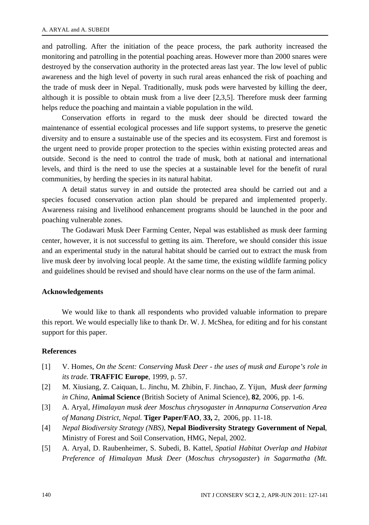and patrolling. After the initiation of the peace process, the park authority increased the monitoring and patrolling in the potential poaching areas. However more than 2000 snares were destroyed by the conservation authority in the protected areas last year. The low level of public awareness and the high level of poverty in such rural areas enhanced the risk of poaching and the trade of musk deer in Nepal. Traditionally, musk pods were harvested by killing the deer, although it is possible to obtain musk from a live deer [2,3,5]. Therefore musk deer farming helps reduce the poaching and maintain a viable population in the wild.

Conservation efforts in regard to the musk deer should be directed toward the maintenance of essential ecological processes and life support systems, to preserve the genetic diversity and to ensure a sustainable use of the species and its ecosystem. First and foremost is the urgent need to provide proper protection to the species within existing protected areas and outside. Second is the need to control the trade of musk, both at national and international levels, and third is the need to use the species at a sustainable level for the benefit of rural communities, by herding the species in its natural habitat.

A detail status survey in and outside the protected area should be carried out and a species focused conservation action plan should be prepared and implemented properly. Awareness raising and livelihood enhancement programs should be launched in the poor and poaching vulnerable zones.

The Godawari Musk Deer Farming Center, Nepal was established as musk deer farming center, however, it is not successful to getting its aim. Therefore, we should consider this issue and an experimental study in the natural habitat should be carried out to extract the musk from live musk deer by involving local people. At the same time, the existing wildlife farming policy and guidelines should be revised and should have clear norms on the use of the farm animal.

#### **Acknowledgements**

We would like to thank all respondents who provided valuable information to prepare this report. We would especially like to thank Dr. W. J. McShea, for editing and for his constant support for this paper.

# **References**

- [1] V. Homes, *On the Scent: Conserving Musk Deer the uses of musk and Europe's role in its trade.* **TRAFFIC Europe**, 1999, p. 57.
- [2] M. Xiusiang, Z. Caiquan, L. Jinchu, M. Zhibin, F. Jinchao, Z. Yijun, *Musk deer farming in China,* **Animal Science** (British Society of Animal Science), **82**, 2006, pp. 1-6.
- [3] A. Aryal, *Himalayan musk deer Moschus chrysogaster in Annapurna Conservation Area of Manang District, Nepal.* **Tiger Paper/FAO**, **33,** 2, 2006, pp. 11-18.
- [4] *Nepal Biodiversity Strategy (NBS)*, **Nepal Biodiversity Strategy Government of Nepal**, Ministry of Forest and Soil Conservation, HMG, Nepal, 2002.
- [5] A. Aryal, D. Raubenheimer, S. Subedi, B. Kattel, *Spatial Habitat Overlap and Habitat Preference of Himalayan Musk Deer* (*Moschus chrysogaster*) *in Sagarmatha (Mt.*